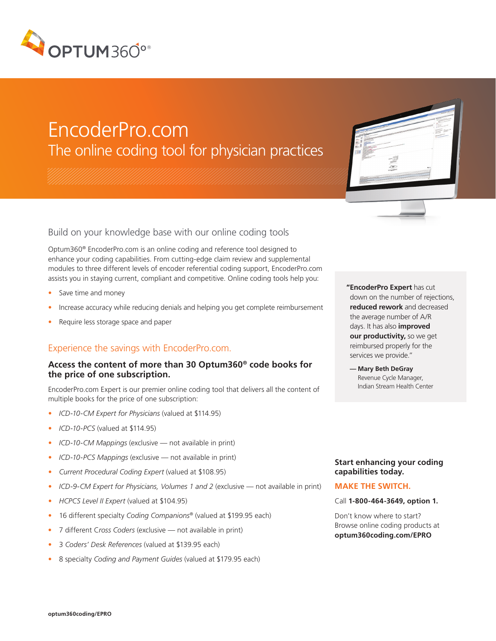

# EncoderPro.com The online coding tool for physician practices

Build on your knowledge base with our online coding tools

Optum360® EncoderPro.com is an online coding and reference tool designed to enhance your coding capabilities. From cutting-edge claim review and supplemental modules to three different levels of encoder referential coding support, EncoderPro.com assists you in staying current, compliant and competitive. Online coding tools help you:

- Save time and money
- Increase accuracy while reducing denials and helping you get complete reimbursement
- Require less storage space and paper

# Experience the savings with EncoderPro.com.

## **Access the content of more than 30 Optum360® code books for the price of one subscription.**

EncoderPro.com Expert is our premier online coding tool that delivers all the content of multiple books for the price of one subscription:

- *• ICD-10-CM Expert for Physicians* (valued at \$114.95)
- *• ICD-10-PCS* (valued at \$114.95)
- *• ICD-10-CM Mappings* (exclusive not available in print)
- *• ICD-10-PCS Mappings* (exclusive not available in print)
- *• Current Procedural Coding Expert* (valued at \$108.95)
- *• ICD-9-CM Expert for Physicians, Volumes 1 and 2* (exclusive not available in print)
- *• HCPCS Level II Expert* (valued at \$104.95)
- 16 different specialty *Coding Companions®* (valued at \$199.95 each)
- 7 different C*ross Coders* (exclusive not available in print)
- 3 *Coders' Desk References* (valued at \$139.95 each)
- 8 specialty *Coding and Payment Guides* (valued at \$179.95 each)

**"EncoderPro Expert** has cut down on the number of rejections, **reduced rework** and decreased the average number of A/R days. It has also **improved our productivity,** so we get reimbursed properly for the services we provide."

 **— Mary Beth DeGray** Revenue Cycle Manager, Indian Stream Health Center

### **Start enhancing your coding capabilities today.**

#### **MAKE THE SWITCH.**

Call **1-800-464-3649, option 1.** 

Don't know where to start? Browse online coding products at **optum360coding.com/EPRO**